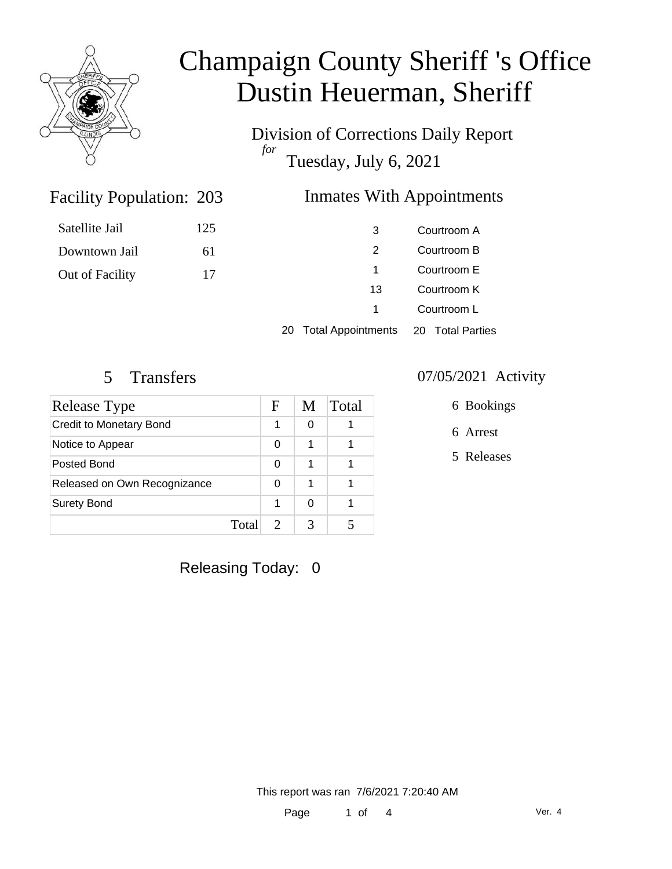

# Champaign County Sheriff 's Office Dustin Heuerman, Sheriff

Division of Corrections Daily Report *for* Tuesday, July 6, 2021

## **Inmates With Appointments**

| Satellite Jail  | 125 | 3   | Courtroom A |
|-----------------|-----|-----|-------------|
| Downtown Jail   | 61  |     | Courtroom B |
| Out of Facility | 17  |     | Courtroom E |
|                 |     | 13. | Courtroom K |
|                 |     |     | Courtroom L |

Courtroom L

20 Total Appointments 20 Total Parties

Facility Population: 203

| Release Type                   |       | F | M | Total |
|--------------------------------|-------|---|---|-------|
| <b>Credit to Monetary Bond</b> |       | 1 | ∩ |       |
| Notice to Appear               |       | 0 | 1 |       |
| Posted Bond                    |       | 0 | 1 |       |
| Released on Own Recognizance   |       | 0 | 1 |       |
| <b>Surety Bond</b>             |       | 1 | ∩ |       |
|                                | Total |   |   |       |

### 5 Transfers 07/05/2021 Activity

6 Bookings

- 6 Arrest
- 5 Releases

Releasing Today: 0

This report was ran 7/6/2021 7:20:40 AM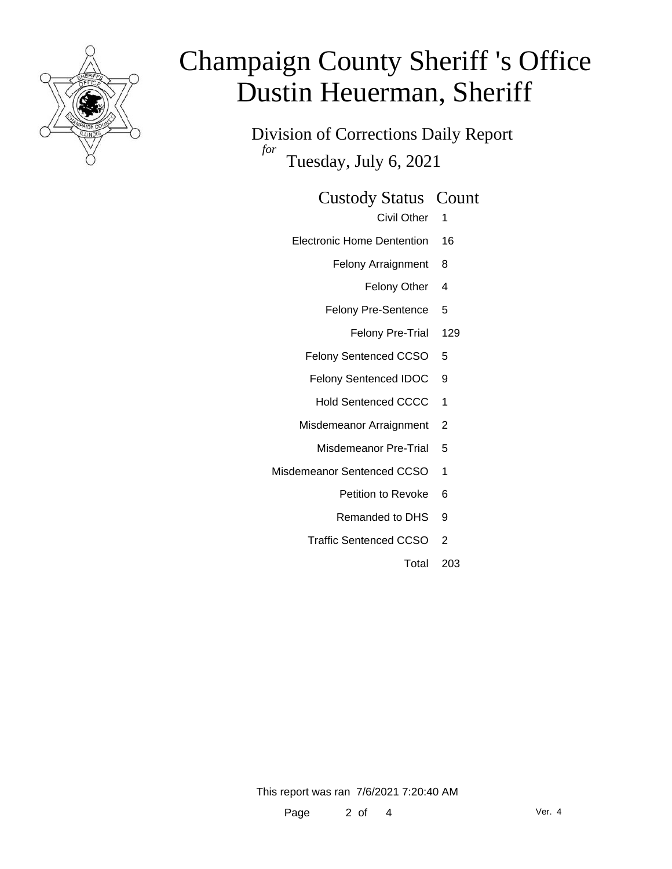

# Champaign County Sheriff 's Office Dustin Heuerman, Sheriff

Division of Corrections Daily Report *for* Tuesday, July 6, 2021

### Custody Status Count

- Civil Other 1
- Electronic Home Dentention 16
	- Felony Arraignment 8
		- Felony Other 4
	- Felony Pre-Sentence 5
		- Felony Pre-Trial 129
	- Felony Sentenced CCSO 5
	- Felony Sentenced IDOC 9
	- Hold Sentenced CCCC 1
	- Misdemeanor Arraignment 2
		- Misdemeanor Pre-Trial 5
- Misdemeanor Sentenced CCSO 1
	- Petition to Revoke 6
	- Remanded to DHS 9
	- Traffic Sentenced CCSO 2
		- Total 203

This report was ran 7/6/2021 7:20:40 AM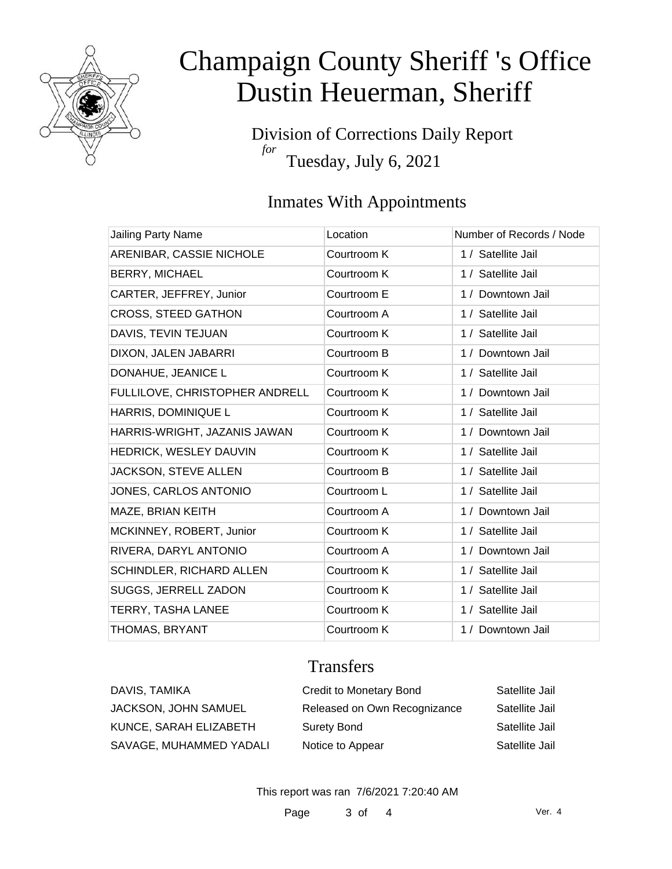

# Champaign County Sheriff 's Office Dustin Heuerman, Sheriff

Division of Corrections Daily Report *for* Tuesday, July 6, 2021

## Inmates With Appointments

| <b>Jailing Party Name</b>      | Location    | Number of Records / Node |
|--------------------------------|-------------|--------------------------|
| ARENIBAR, CASSIE NICHOLE       | Courtroom K | 1 / Satellite Jail       |
| <b>BERRY, MICHAEL</b>          | Courtroom K | 1 / Satellite Jail       |
| CARTER, JEFFREY, Junior        | Courtroom E | 1 / Downtown Jail        |
| <b>CROSS, STEED GATHON</b>     | Courtroom A | 1 / Satellite Jail       |
| DAVIS, TEVIN TEJUAN            | Courtroom K | 1 / Satellite Jail       |
| DIXON, JALEN JABARRI           | Courtroom B | 1 / Downtown Jail        |
| DONAHUE, JEANICE L             | Courtroom K | 1 / Satellite Jail       |
| FULLILOVE, CHRISTOPHER ANDRELL | Courtroom K | 1 / Downtown Jail        |
| HARRIS, DOMINIQUE L            | Courtroom K | 1 / Satellite Jail       |
| HARRIS-WRIGHT, JAZANIS JAWAN   | Courtroom K | 1 / Downtown Jail        |
| HEDRICK, WESLEY DAUVIN         | Courtroom K | 1 / Satellite Jail       |
| JACKSON, STEVE ALLEN           | Courtroom B | 1 / Satellite Jail       |
| JONES, CARLOS ANTONIO          | Courtroom L | 1 / Satellite Jail       |
| MAZE, BRIAN KEITH              | Courtroom A | 1 / Downtown Jail        |
| MCKINNEY, ROBERT, Junior       | Courtroom K | 1 / Satellite Jail       |
| RIVERA, DARYL ANTONIO          | Courtroom A | 1 / Downtown Jail        |
| SCHINDLER, RICHARD ALLEN       | Courtroom K | 1 / Satellite Jail       |
| SUGGS, JERRELL ZADON           | Courtroom K | 1 / Satellite Jail       |
| <b>TERRY, TASHA LANEE</b>      | Courtroom K | 1 / Satellite Jail       |
| THOMAS, BRYANT                 | Courtroom K | 1 / Downtown Jail        |

### **Transfers**

| DAVIS, TAMIKA               | <b>Credit to Monetary Bond</b> | Satellite Jail |
|-----------------------------|--------------------------------|----------------|
| <b>JACKSON, JOHN SAMUEL</b> | Released on Own Recognizance   | Satellite Jail |
| KUNCE, SARAH ELIZABETH      | <b>Surety Bond</b>             | Satellite Jail |
| SAVAGE, MUHAMMED YADALI     | Notice to Appear               | Satellite Jail |